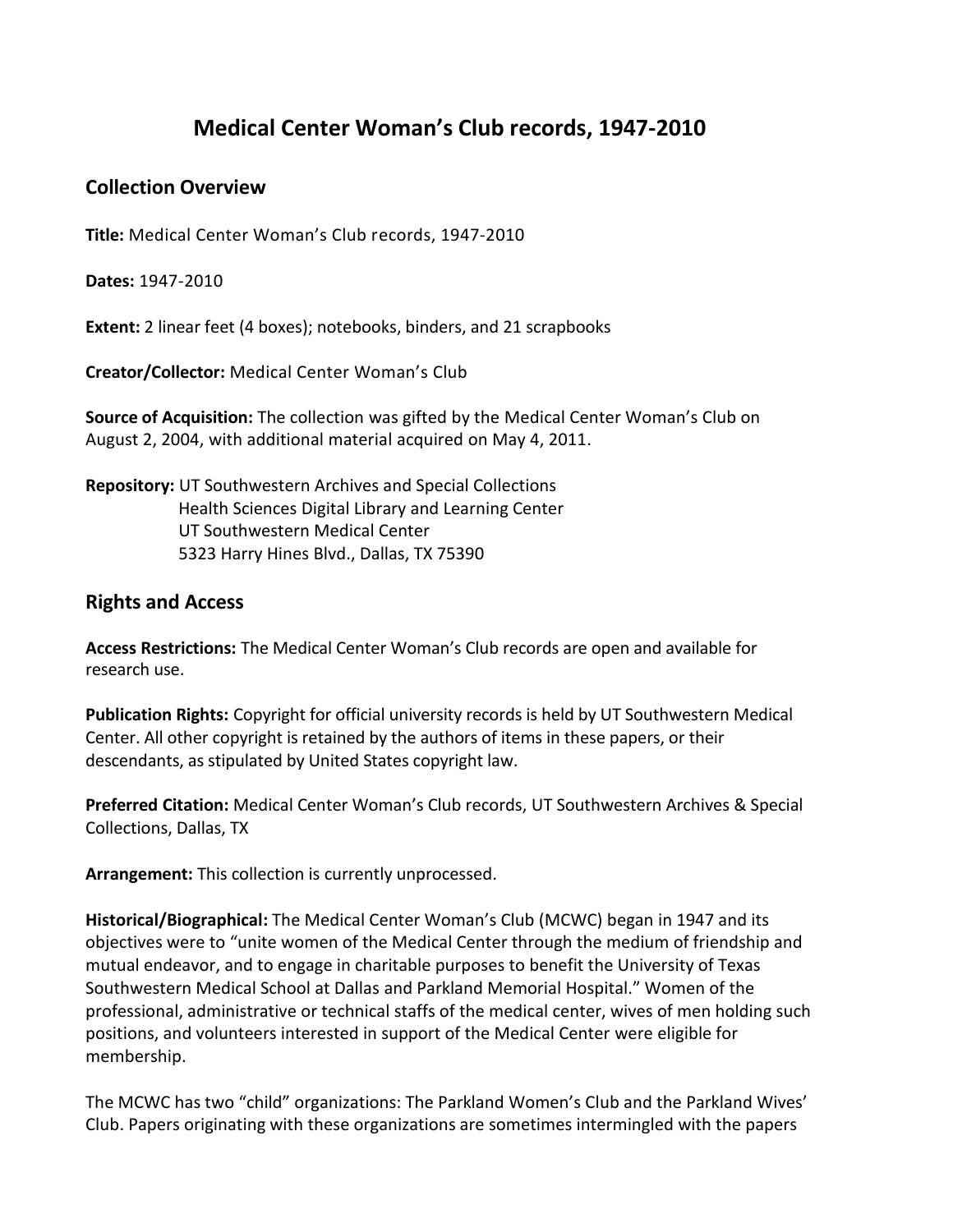## **Medical Center Woman's Club records, 1947-2010**

## **Collection Overview**

**Title:** Medical Center Woman's Club records, 1947-2010

**Dates:** 1947-2010

**Extent:** 2 linear feet (4 boxes); notebooks, binders, and 21 scrapbooks

**Creator/Collector:** Medical Center Woman's Club

**Source of Acquisition:** The collection was gifted by the Medical Center Woman's Club on August 2, 2004, with additional material acquired on May 4, 2011.

## **Repository:** UT Southwestern Archives and Special Collections Health Sciences Digital Library and Learning Center UT Southwestern Medical Center 5323 Harry Hines Blvd., Dallas, TX 75390

## **Rights and Access**

**Access Restrictions:** The Medical Center Woman's Club records are open and available for research use.

**Publication Rights:** Copyright for official university records is held by UT Southwestern Medical Center. All other copyright is retained by the authors of items in these papers, or their descendants, as stipulated by United States copyright law.

**Preferred Citation:** Medical Center Woman's Club records, UT Southwestern Archives & Special Collections, Dallas, TX

**Arrangement:** This collection is currently unprocessed.

**Historical/Biographical:** The Medical Center Woman's Club (MCWC) began in 1947 and its objectives were to "unite women of the Medical Center through the medium of friendship and mutual endeavor, and to engage in charitable purposes to benefit the University of Texas Southwestern Medical School at Dallas and Parkland Memorial Hospital." Women of the professional, administrative or technical staffs of the medical center, wives of men holding such positions, and volunteers interested in support of the Medical Center were eligible for membership.

The MCWC has two "child" organizations: The Parkland Women's Club and the Parkland Wives' Club. Papers originating with these organizations are sometimes intermingled with the papers